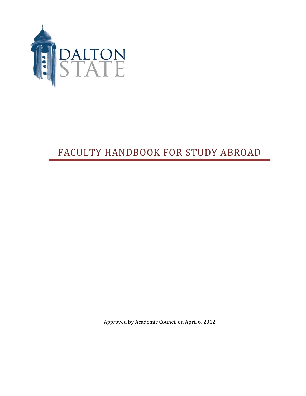

# FACULTY HANDBOOK FOR STUDY ABROAD

Approved by Academic Council on April 6, 2012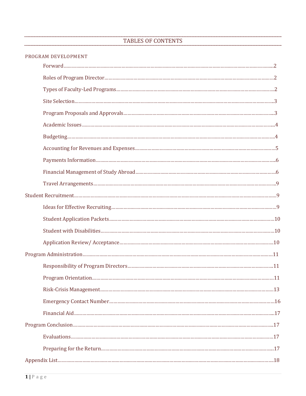# TABLES OF CONTENTS

| PROGRAM DEVELOPMENT |
|---------------------|
|                     |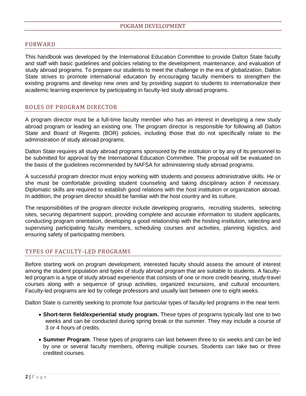## FORWARD

This handbook was developed by the International Education Committee to provide Dalton State faculty and staff with basic guidelines and policies relating to the development, maintenance, and evaluation of study abroad programs. To prepare our students to meet the challenge in the era of globalization, Dalton State strives to promote international education by encouraging faculty members to strengthen the existing programs and develop new ones and by providing support to students to internationalize their academic learning experience by participating in faculty-led study abroad programs.

# ROLES OF PROGRAM DIRECTOR

A program director must be a full-time faculty member who has an interest in developing a new study abroad program or leading an existing one. The program director is responsible for following all Dalton State and Board of Regents (BOR) policies, including those that do not specifically relate to the administration of study abroad programs.

Dalton State requires all study abroad programs sponsored by the institution or by any of its personnel to be submitted for approval by the International Education Committee. The proposal will be evaluated on the basis of the guidelines recommended by NAFSA for administering study abroad programs.

A successful program director must enjoy working with students and possess administrative skills. He or she must be comfortable providing student counseling and taking disciplinary action if necessary. Diplomatic skills are required to establish good relations with the host institution or organization abroad. In addition, the program director should be familiar with the host country and its culture.

The responsibilities of the program director include developing programs, recruiting students, selecting sites, securing department support, providing complete and accurate information to student applicants, conducting program orientation, developing a good relationship with the hosting institution, selecting and supervising participating faculty members, scheduling courses and activities, planning logistics, and ensuring safety of participating members.

### TYPES OF FACULTY-LED PROGRAMS

Before starting work on program development, interested faculty should assess the amount of interest among the student population and types of study abroad program that are suitable to students. A facultyled program is a type of study abroad experience that consists of one or more credit-bearing, study-travel courses along with a sequence of group activities, organized excursions, and cultural encounters. Faculty-led programs are led by college professors and usually last between one to eight weeks.

Dalton State is currently seeking to promote four particular types of faculty-led programs in the near term.

- **Short-term field/experiential study program.** These types of programs typically last one to two weeks and can be conducted during spring break or the summer. They may include a course of 3 or 4 hours of credits.
- **Summer Program**. These types of programs can last between three to six weeks and can be led by one or several faculty members, offering multiple courses. Students can take two or three credited courses.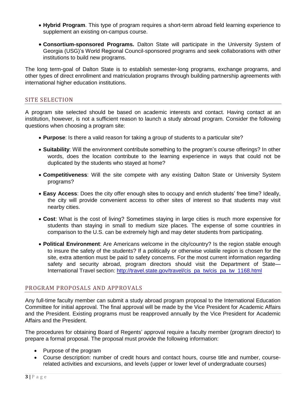- **Hybrid Program**. This type of program requires a short-term abroad field learning experience to supplement an existing on-campus course.
- **Consortium-sponsored Programs.** Dalton State will participate in the University System of Georgia (USG)'s World Regional Council-sponsored programs and seek collaborations with other institutions to build new programs.

The long term-goal of Dalton State is to establish semester-long programs, exchange programs, and other types of direct enrollment and matriculation programs through building partnership agreements with international higher education institutions.

# SITE SELECTION

A program site selected should be based on academic interests and contact. Having contact at an institution, however, is not a sufficient reason to launch a study abroad program. Consider the following questions when choosing a program site:

- **Purpose**: Is there a valid reason for taking a group of students to a particular site?
- **Suitability**: Will the environment contribute something to the program's course offerings? In other words, does the location contribute to the learning experience in ways that could not be duplicated by the students who stayed at home?
- **Competitiveness**: Will the site compete with any existing Dalton State or University System programs?
- **Easy Access**: Does the city offer enough sites to occupy and enrich students' free time? Ideally, the city will provide convenient access to other sites of interest so that students may visit nearby cities.
- **Cost**: What is the cost of living? Sometimes staying in large cities is much more expensive for students than staying in small to medium size places. The expense of some countries in comparison to the U.S. can be extremely high and may deter students from participating.
- **Political Environment**: Are Americans welcome in the city/country? Is the region stable enough to insure the safety of the students? If a politically or otherwise volatile region is chosen for the site, extra attention must be paid to safety concerns. For the most current information regarding safety and security abroad, program directors should visit the Department of State-International Travel section: [http://travel.state.gov/travel/cis\\_pa\\_tw/cis\\_pa\\_tw\\_1168.html](http://travel.state.gov/travel/cis_pa_tw/cis_pa_tw_1168.html)

# PROGRAM PROPOSALS AND APPROVALS

Any full-time faculty member can submit a study abroad program proposal to the International Education Committee for initial approval. The final approval will be made by the Vice President for Academic Affairs and the President. Existing programs must be reapproved annually by the Vice President for Academic Affairs and the President.

The procedures for obtaining Board of Regents' approval require a faculty member (program director) to prepare a formal proposal. The proposal must provide the following information:

- Purpose of the program
- Course description: number of credit hours and contact hours, course title and number, courserelated activities and excursions, and levels (upper or lower level of undergraduate courses)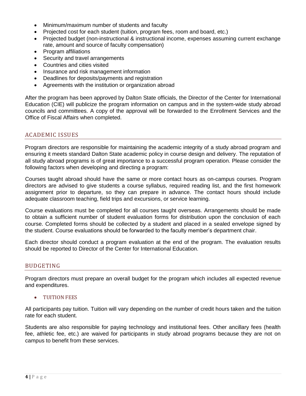- Minimum/maximum number of students and faculty
- Projected cost for each student (tuition, program fees, room and board, etc.)
- Projected budget (non-instructional & instructional income, expenses assuming current exchange rate, amount and source of faculty compensation)
- Program affiliations
- Security and travel arrangements
- Countries and cities visited
- Insurance and risk management information
- Deadlines for deposits/payments and registration
- Agreements with the institution or organization abroad

After the program has been approved by Dalton State officials, the Director of the Center for International Education (CIE) will publicize the program information on campus and in the system-wide study abroad councils and committees. A copy of the approval will be forwarded to the Enrollment Services and the Office of Fiscal Affairs when completed.

# ACADEMIC ISSUES

Program directors are responsible for maintaining the academic integrity of a study abroad program and ensuring it meets standard Dalton State academic policy in course design and delivery. The reputation of all study abroad programs is of great importance to a successful program operation. Please consider the following factors when developing and directing a program:

Courses taught abroad should have the same or more contact hours as on-campus courses. Program directors are advised to give students a course syllabus, required reading list, and the first homework assignment prior to departure, so they can prepare in advance. The contact hours should include adequate classroom teaching, field trips and excursions, or service learning.

Course evaluations must be completed for all courses taught overseas. Arrangements should be made to obtain a sufficient number of student evaluation forms for distribution upon the conclusion of each course. Completed forms should be collected by a student and placed in a sealed envelope signed by the student. Course evaluations should be forwarded to the faculty member's department chair.

Each director should conduct a program evaluation at the end of the program. The evaluation results should be reported to Director of the Center for International Education.

# BUDGETING

Program directors must prepare an overall budget for the program which includes all expected revenue and expenditures.

TUITION FEES

All participants pay tuition. Tuition will vary depending on the number of credit hours taken and the tuition rate for each student.

Students are also responsible for paying technology and institutional fees. Other ancillary fees (health fee, athletic fee, etc.) are waived for participants in study abroad programs because they are not on campus to benefit from these services.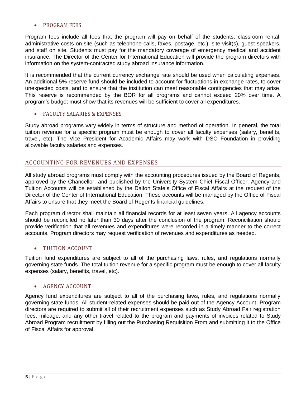#### PROGRAM FEES

Program fees include all fees that the program will pay on behalf of the students: classroom rental, administrative costs on site (such as telephone calls, faxes, postage, etc.), site visit(s), guest speakers, and staff on site. Students must pay for the mandatory coverage of emergency medical and accident insurance. The Director of the Center for International Education will provide the program directors with information on the system-contracted study abroad insurance information.

It is recommended that the current currency exchange rate should be used when calculating expenses. An additional 5% reserve fund should be included to account for fluctuations in exchange rates, to cover unexpected costs, and to ensure that the institution can meet reasonable contingencies that may arise. This reserve is recommended by the BOR for all programs and cannot exceed 20% over time. A program's budget must show that its revenues will be sufficient to cover all expenditures.

#### FACULTY SALARIES & EXPENSES

Study abroad programs vary widely in terms of structure and method of operation. In general, the total tuition revenue for a specific program must be enough to cover all faculty expenses (salary, benefits, travel, etc). The Vice President for Academic Affairs may work with DSC Foundation in providing allowable faculty salaries and expenses.

# ACCOUNTING FOR REVENUES AND EXPENSES

All study abroad programs must comply with the accounting procedures issued by the Board of Regents, approved by the Chancellor, and published by the University System Chief Fiscal Officer. Agency and Tuition Accounts will be established by the Dalton State's Office of Fiscal Affairs at the request of the Director of the Center of International Education. These accounts will be managed by the Office of Fiscal Affairs to ensure that they meet the Board of Regents financial guidelines.

Each program director shall maintain all financial records for at least seven years. All agency accounts should be reconciled no later than 30 days after the conclusion of the program. Reconciliation should provide verification that all revenues and expenditures were recorded in a timely manner to the correct accounts. Program directors may request verification of revenues and expenditures as needed.

### TUITION ACCOUNT

Tuition fund expenditures are subject to all of the purchasing laws, rules, and regulations normally governing state funds. The total tuition revenue for a specific program must be enough to cover all faculty expenses (salary, benefits, travel, etc).

# AGENCY ACCOUNT

Agency fund expenditures are subject to all of the purchasing laws, rules, and regulations normally governing state funds. All student-related expenses should be paid out of the Agency Account. Program directors are required to submit all of their recruitment expenses such as Study Abroad Fair registration fees, mileage, and any other travel related to the program and payments of invoices related to Study Abroad Program recruitment by filling out the Purchasing Requisition From and submitting it to the Office of Fiscal Affairs for approval.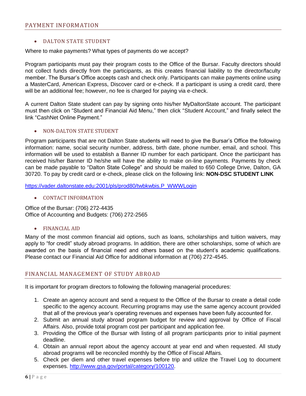## DALTON STATE STUDENT

Where to make payments? What types of payments do we accept?

Program participants must pay their program costs to the Office of the Bursar. Faculty directors should not collect funds directly from the participants, as this creates financial liability to the director/faculty member. The Bursar's Office accepts cash and check only. Participants can make payments online using a MasterCard, American Express, Discover card or e-check. If a participant is using a credit card, there will be an additional fee; however, no fee is charged for paying via e-check.

A current Dalton State student can pay by signing onto his/her MyDaltonState account. The participant must then click on "Student and Financial Aid Menu," then click "Student Account," and finally select the link "CashNet Online Payment."

#### NON-DALTON STATE STUDENT

Program participants that are not Dalton State students will need to give the Bursar's Office the following information: name, social security number, address, birth date, phone number, email, and school. This information will be used to establish a Banner ID number for each participant. Once the participant has received his/her Banner ID he/she will have the ability to make on-line payments. Payments by check can be made payable to "Dalton State College" and should be mailed to 650 College Drive, Dalton, GA 30720. To pay by credit card or e-check, please click on the following link: **NON-DSC STUDENT LINK**

[https://vader.daltonstate.edu:2001/pls/prod80/twbkwbis.P\\_WWWLogin](https://vader.daltonstate.edu:2001/pls/prod80/twbkwbis.P_WWWLogin)

• CONTACT INFORMATION

Office of the Bursar: (706) 272-4435 Office of Accounting and Budgets: (706) 272-2565

### FINANCIAL AID

Many of the most common financial aid options, such as loans, scholarships and tuition waivers, may apply to "for credit" study abroad programs. In addition, there are other scholarships, some of which are awarded on the basis of financial need and others based on the student's academic qualifications. Please contact our Financial Aid Office for additional information at (706) 272-4545.

### FINANCIAL MANAGEMENT OF STUDY ABROAD

It is important for program directors to following the following managerial procedures:

- 1. Create an agency account and send a request to the Office of the Bursar to create a detail code specific to the agency account. Recurring programs may use the same agency account provided that all of the previous year's operating revenues and expenses have been fully accounted for.
- 2. Submit an annual study abroad program budget for review and approval by Office of Fiscal Affairs. Also, provide total program cost per participant and application fee.
- 3. Providing the Office of the Bursar with listing of all program participants prior to initial payment deadline.
- 4. Obtain an annual report about the agency account at year end and when requested. All study abroad programs will be reconciled monthly by the Office of Fiscal Affairs.
- 5. Check per diem and other travel expenses before trip and utilize the Travel Log to document expenses. [http://www.gsa.gov/portal/category/100120.](http://www.gsa.gov/portal/category/100120)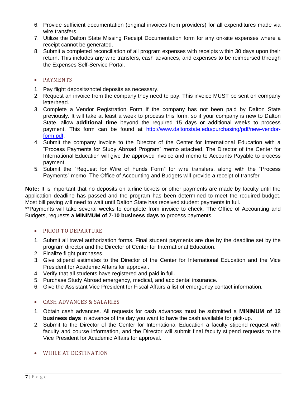- 6. Provide sufficient documentation (original invoices from providers) for all expenditures made via wire transfers.
- 7. Utilize the Dalton State Missing Receipt Documentation form for any on-site expenses where a receipt cannot be generated.
- 8. Submit a completed reconciliation of all program expenses with receipts within 30 days upon their return. This includes any wire transfers, cash advances, and expenses to be reimbursed through the Expenses Self-Service Portal.

# • PAYMENTS

- 1. Pay flight deposits/hotel deposits as necessary.
- 2. Request an invoice from the company they need to pay. This invoice MUST be sent on company letterhead.
- 3. Complete a Vendor Registration Form If the company has not been paid by Dalton State previously. It will take at least a week to process this form, so if your company is new to Dalton State, allow **additional time** beyond the required 15 days or additional weeks to process payment. This form can be found at [http://www.daltonstate.edu/purchasing/pdf/new-vendor](http://www.daltonstate.edu/purchasing/pdf/new-vendor-form.pdf)[form.pdf.](http://www.daltonstate.edu/purchasing/pdf/new-vendor-form.pdf)
- 4. Submit the company invoice to the Director of the Center for International Education with a "Process Payments for Study Abroad Program" memo attached. The Director of the Center for International Education will give the approved invoice and memo to Accounts Payable to process payment.
- 5. Submit the "Request for Wire of Funds Form" for wire transfers, along with the "Process Payments" memo. The Office of Accounting and Budgets will provide a receipt of transfer

**Note:** It is important that no deposits on airline tickets or other payments are made by faculty until the application deadline has passed and the program has been determined to meet the required budget. Most bill paying will need to wait until Dalton State has received student payments in full.

\*\*Payments will take several weeks to complete from invoice to check. The Office of Accounting and Budgets, requests a **MINIMUM of 7-10 business days** to process payments.

# • PRIOR TO DEPARTURE

- 1. Submit all travel authorization forms. Final student payments are due by the deadline set by the program director and the Director of Center for International Education.
- 2. Finalize flight purchases.
- 3. Give stipend estimates to the Director of the Center for International Education and the Vice President for Academic Affairs for approval.
- 4. Verify that all students have registered and paid in full.
- 5. Purchase Study Abroad emergency, medical, and accidental insurance.
- 6. Give the Assistant Vice President for Fiscal Affairs a list of emergency contact information.

# CASH ADVANCES & SALARIES

- 1. Obtain cash advances. All requests for cash advances must be submitted a **MINIMUM of 12 business days** in advance of the day you want to have the cash available for pick-up.
- 2. Submit to the Director of the Center for International Education a faculty stipend request with faculty and course information, and the Director will submit final faculty stipend requests to the Vice President for Academic Affairs for approval.
- WHILE AT DESTINATION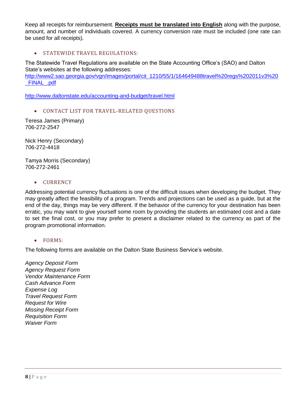Keep all receipts for reimbursement. **Receipts must be translated into English** along with the purpose, amount, and number of individuals covered. A currency conversion rate must be included (one rate can be used for all receipts).

**STATEWIDE TRAVEL REGULATIONS:** 

The Statewide Travel Regulations are available on the State Accounting Office's (SAO) and Dalton State's websites at the following addresses:

[http://www2.sao.georgia.gov/vgn/images/portal/cit\\_1210/55/1/164649488travel%20regs%202011v3%20](http://www2.sao.georgia.gov/vgn/images/portal/cit_1210/55/1/164649488travel%20regs%202011v3%20_FINAL_.pdf) [\\_FINAL\\_.pdf](http://www2.sao.georgia.gov/vgn/images/portal/cit_1210/55/1/164649488travel%20regs%202011v3%20_FINAL_.pdf)

<http://www.daltonstate.edu/accounting-and-budget/travel.html>

CONTACT LIST FOR TRAVEL-RELATED QUESTIONS

Teresa James (Primary) 706-272-2547

Nick Henry (Secondary) 706-272-4418

Tamya Morris (Secondary) 706-272-2461

#### • CURRENCY

Addressing potential currency fluctuations is one of the difficult issues when developing the budget. They may greatly affect the feasibility of a program. Trends and projections can be used as a guide, but at the end of the day, things may be very different. If the behavior of the currency for your destination has been erratic, you may want to give yourself some room by providing the students an estimated cost and a date to set the final cost, or you may prefer to present a disclaimer related to the currency as part of the program promotional information.

### • FORMS:

The following forms are available on the Dalton State Business Service's website.

*Agency Deposit Form Agency Request Form Vendor Maintenance Form Cash Advance Form Expense Log Travel Request Form Request for Wire Missing Receipt Form Requisition Form Waiver Form*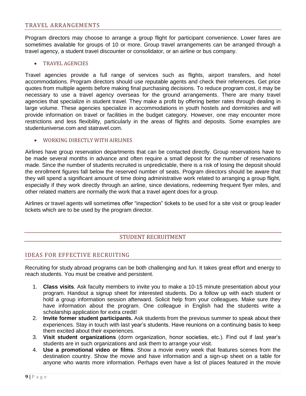# TRAVEL ARRANGEMENTS

Program directors may choose to arrange a group flight for participant convenience. Lower fares are sometimes available for groups of 10 or more. Group travel arrangements can be arranged through a travel agency, a student travel discounter or consolidator, or an airline or bus company.

#### TRAVEL AGENCIES

Travel agencies provide a full range of services such as flights, airport transfers, and hotel accommodations. Program directors should use reputable agents and check their references. Get price quotes from multiple agents before making final purchasing decisions. To reduce program cost, it may be necessary to use a travel agency overseas for the ground arrangements. There are many travel agencies that specialize in student travel. They make a profit by offering better rates through dealing in large volume. These agencies specialize in accommodations in youth hostels and dormitories and will provide information on travel or facilities in the budget category. However, one may encounter more restrictions and less flexibility, particularly in the areas of flights and deposits. Some examples are studentuniverse.com and statravel.com.

#### WORKING DIRECTLY WITH AIRLINES

Airlines have group reservation departments that can be contacted directly. Group reservations have to be made several months in advance and often require a small deposit for the number of reservations made. Since the number of students recruited is unpredictable, there is a risk of losing the deposit should the enrollment figures fall below the reserved number of seats. Program directors should be aware that they will spend a significant amount of time doing administrative work related to arranging a group flight, especially if they work directly through an airline, since deviations, redeeming frequent flyer miles, and other related matters are normally the work that a travel agent does for a group.

Airlines or travel agents will sometimes offer "inspection" tickets to be used for a site visit or group leader tickets which are to be used by the program director.

# STUDENT RECRUITMENT

### IDEAS FOR EFFECTIVE RECRUITING

Recruiting for study abroad programs can be both challenging and fun. It takes great effort and energy to reach students. You must be creative and persistent.

- 1. **Class visits**. Ask faculty members to invite you to make a 10-15 minute presentation about your program. Handout a signup sheet for interested students. Do a follow up with each student or hold a group information session afterward. Solicit help from your colleagues. Make sure they have information about the program. One colleague in English had the students write a scholarship application for extra credit!
- 2. **Invite former student participants.** Ask students from the previous summer to speak about their experiences. Stay in touch with last year's students. Have reunions on a continuing basis to keep them excited about their experiences.
- 3. **Visit student organizations** (dorm organization, honor societies, etc.). Find out if last year's students are in such organizations and ask them to arrange your visit.
- 4. **Use a promotional video or films**. Show a movie every week that features scenes from the destination country. Show the movie and have information and a sign-up sheet on a table for anyone who wants more information. Perhaps even have a list of places featured in the movie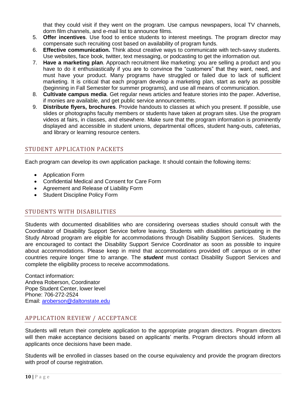that they could visit if they went on the program. Use campus newspapers, local TV channels, dorm film channels, and e-mail list to announce films.

- 5. **Offer incentives**. Use food to entice students to interest meetings. The program director may compensate such recruiting cost based on availability of program funds.
- 6. **Effective communication.** Think about creative ways to communicate with tech-savvy students. Use websites, face book, twitter, text messaging, or podcasting to get the information out.
- 7. **Have a marketing plan**. Approach recruitment like marketing: you are selling a product and you have to do it enthusiastically if you are to convince the "customers" that they want, need, and must have your product. Many programs have struggled or failed due to lack of sufficient marketing. It is critical that each program develop a marketing plan, start as early as possible (beginning in Fall Semester for summer programs), and use all means of communication.
- 8. **Cultivate campus media**. Get regular news articles and feature stories into the paper. Advertise, if monies are available, and get public service announcements.
- 9. **Distribute flyers, brochures**. Provide handouts to classes at which you present. If possible, use slides or photographs faculty members or students have taken at program sites. Use the program videos at fairs, in classes, and elsewhere. Make sure that the program information is prominently displayed and accessible in student unions, departmental offices, student hang-outs, cafeterias, and library or learning resource centers.

# STUDENT APPLICATION PACKETS

Each program can develop its own application package. It should contain the following items:

- Application Form
- Confidential Medical and Consent for Care Form
- Agreement and Release of Liability Form
- Student Discipline Policy Form

# STUDENTS WITH DISABILITIES

Students with documented disabilities who are considering overseas studies should consult with the Coordinator of Disability Support Service before leaving. Students with disabilities participating in the Study Abroad program are eligible for accommodations through Disability Support Services. Students are encouraged to contact the Disability Support Service Coordinator as soon as possible to inquire about accommodations. Please keep in mind that accommodations provided off campus or in other countries require longer time to arrange. The *student* must contact Disability Support Services and complete the eligibility process to receive accommodations.

Contact information: Andrea Roberson, Coordinator Pope Student Center, lower level Phone: 706-272-2524 Email: [aroberson@daltonstate.edu](mailto:aroberson@daltonstate.edu)

# APPLICATION REVIEW / ACCEPTANCE

Students will return their complete application to the appropriate program directors. Program directors will then make acceptance decisions based on applicants' merits. Program directors should inform all applicants once decisions have been made.

Students will be enrolled in classes based on the course equivalency and provide the program directors with proof of course registration.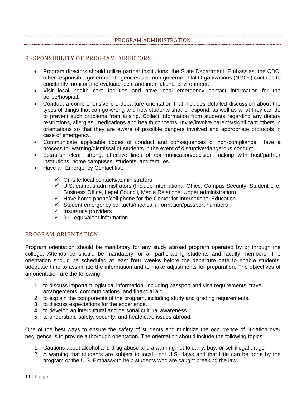# PROGRAM ADMINISTRATION

# RESPONSIBILITY OF PROGRAM DIRECTORS

- Program directors should utilize partner institutions, the State Department, Embassies, the CDC, other responsible government agencies and non-governmental Organizations (NGOs) contacts to constantly monitor and evaluate local and international environment.
- Visit local health care facilities and have local emergency contact information for the police/hospital.
- Conduct a comprehensive pre-departure orientation that includes detailed discussion about the types of things that can go wrong and how students should respond, as well as what they can do to prevent such problems from arising. Collect information from students regarding any dietary restrictions, allergies, medications and health concerns. Invite/involve parents/significant others in orientations so that they are aware of possible dangers involved and appropriate protocols in case of emergency.
- Communicate applicable codes of conduct and consequences of non-compliance. Have a process for warning/dismissal of students in the event of disruptive/dangerous conduct.
- Establish clear, strong, effective lines of communication/decision making with host/partner institutions, home campuses, students, and families.
- Have an Emergency Contact list:
	- $\checkmark$  On-site local contacts/administrators
	- $\checkmark$  U.S. campus administrators (Include International Office, Campus Security, Student Life, Business Office, Legal Council, Media Relations, Upper administration)
	- $\checkmark$  Have home phone/cell phone for the Center for International Education
	- $\checkmark$  Student emergency contacts/medical information/passport numbers
	- $\checkmark$  Insurance providers
	- $\checkmark$  911 equivalent information

### PROGRAM ORIENTATION

Program orientation should be mandatory for any study abroad program operated by or through the college. Attendance should be mandatory for all participating students and faculty members. The orientation should be scheduled at least **four weeks** before the departure date to enable students' adequate time to assimilate the information and to make adjustments for preparation. The objectives of an orientation are the following:

- 1. to discuss important logistical information, including passport and visa requirements, travel arrangements, communications, and financial aid.
- 2. to explain the components of the program, including study and grading requirements.
- 3. to discuss expectations for the experience.
- 4. to develop an intercultural and personal cultural awareness.
- 5. to understand safety, security, and healthcare issues abroad.

One of the best ways to ensure the safety of students and minimize the occurrence of litigation over negligence is to provide a thorough orientation. The orientation should include the following topics:

- 1. Cautions about alcohol and drug abuse and a warning not to carry, buy, or sell illegal drugs.
- 2. A warning that students are subject to local—not U.S—laws and that little can be done by the program or the U.S. Embassy to help students who are caught breaking the law.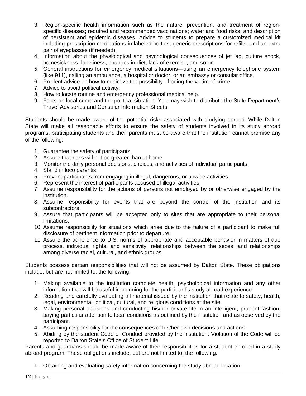- 3. Region-specific health information such as the nature, prevention, and treatment of regionspecific diseases; required and recommended vaccinations; water and food risks; and description of persistent and epidemic diseases. Advice to students to prepare a customized medical kit including prescription medications in labeled bottles, generic prescriptions for refills, and an extra pair of eyeglasses (if needed).
- 4. Information about the physiological and psychological consequences of jet lag, culture shock, homesickness, loneliness, changes in diet, lack of exercise, and so on.
- 5. General instructions for emergency medical situations—using an emergency telephone system (like 911), calling an ambulance, a hospital or doctor, or an embassy or consular office.
- 6. Prudent advice on how to minimize the possibility of being the victim of crime.
- 7. Advice to avoid political activity.
- 8. How to locate routine and emergency professional medical help.
- 9. Facts on local crime and the political situation. You may wish to distribute the State Department's Travel Advisories and Consular Information Sheets.

Students should be made aware of the potential risks associated with studying abroad. While Dalton State will make all reasonable efforts to ensure the safety of students involved in its study abroad programs, participating students and their parents must be aware that the institution cannot promise any of the following:

- 1. Guarantee the safety of participants.
- 2. Assure that risks will not be greater than at home.
- 3. Monitor the daily personal decisions, choices, and activities of individual participants.
- 4. Stand in loco parentis.
- 5. Prevent participants from engaging in illegal, dangerous, or unwise activities.
- 6. Represent the interest of participants accused of illegal activities.
- 7. Assume responsibility for the actions of persons not employed by or otherwise engaged by the institution.
- 8. Assume responsibility for events that are beyond the control of the institution and its subcontractors.
- 9. Assure that participants will be accepted only to sites that are appropriate to their personal limitations.
- 10. Assume responsibility for situations which arise due to the failure of a participant to make full disclosure of pertinent information prior to departure.
- 11. Assure the adherence to U.S. norms of appropriate and acceptable behavior in matters of due process, individual rights, and sensitivity; relationships between the sexes; and relationships among diverse racial, cultural, and ethnic groups.

Students possess certain responsibilities that will not be assumed by Dalton State. These obligations include, but are not limited to, the following:

- 1. Making available to the institution complete health, psychological information and any other information that will be useful in planning for the participant's study abroad experience.
- 2. Reading and carefully evaluating all material issued by the institution that relate to safety, health, legal, environmental, political, cultural, and religious conditions at the site.
- 3. Making personal decisions and conducting his/her private life in an intelligent, prudent fashion, paying particular attention to local conditions as outlined by the institution and as observed by the participant.
- 4. Assuming responsibility for the consequences of his/her own decisions and actions.
- 5. Abiding by the student Code of Conduct provided by the institution. Violation of the Code will be reported to Dalton State's Office of Student Life.

Parents and guardians should be made aware of their responsibilities for a student enrolled in a study abroad program. These obligations include, but are not limited to, the following:

1. Obtaining and evaluating safety information concerning the study abroad location.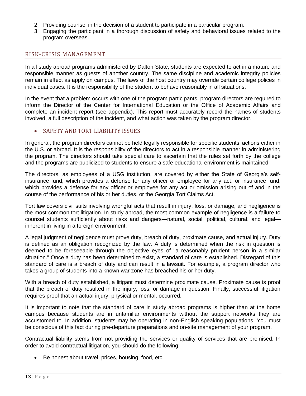- 2. Providing counsel in the decision of a student to participate in a particular program.
- 3. Engaging the participant in a thorough discussion of safety and behavioral issues related to the program overseas.

# RISK-CRISIS MANAGEMENT

In all study abroad programs administered by Dalton State, students are expected to act in a mature and responsible manner as guests of another country. The same discipline and academic integrity policies remain in effect as apply on campus. The laws of the host country may override certain college polices in individual cases. It is the responsibility of the student to behave reasonably in all situations.

In the event that a problem occurs with one of the program participants, program directors are required to inform the Director of the Center for International Education or the Office of Academic Affairs and complete an incident report (see appendix). This report must accurately record the names of students involved, a full description of the incident, and what action was taken by the program director.

### SAFETY AND TORT LIABILITY ISSUES

In general, the program directors cannot be held legally responsible for specific students' actions either in the U.S. or abroad. It is the responsibility of the directors to act in a responsible manner in administering the program. The directors should take special care to ascertain that the rules set forth by the college and the programs are publicized to students to ensure a safe educational environment is maintained.

The directors, as employees of a USG institution, are covered by either the State of Georgia's selfinsurance fund, which provides a defense for any officer or employee for any act, or insurance fund, which provides a defense for any officer or employee for any act or omission arising out of and in the course of the performance of his or her duties, or the Georgia Tort Claims Act.

Tort law covers civil suits involving wrongful acts that result in injury, loss, or damage, and negligence is the most common tort litigation. In study abroad, the most common example of negligence is a failure to counsel students sufficiently about risks and dangers—natural, social, political, cultural, and legal inherent in living in a foreign environment.

A legal judgment of negligence must prove duty, breach of duty, proximate cause, and actual injury. Duty is defined as an obligation recognized by the law. A duty is determined when the risk in question is deemed to be foreseeable through the objective eyes of "a reasonably prudent person in a similar situation." Once a duty has been determined to exist, a standard of care is established. Disregard of this standard of care is a breach of duty and can result in a lawsuit. For example, a program director who takes a group of students into a known war zone has breached his or her duty.

With a breach of duty established, a litigant must determine proximate cause. Proximate cause is proof that the breach of duty resulted in the injury, loss, or damage in question. Finally, successful litigation requires proof that an actual injury, physical or mental, occurred.

It is important to note that the standard of care in study abroad programs is higher than at the home campus because students are in unfamiliar environments without the support networks they are accustomed to. In addition, students may be operating in non-English speaking populations. You must be conscious of this fact during pre-departure preparations and on-site management of your program.

Contractual liability stems from not providing the services or quality of services that are promised. In order to avoid contractual litigation, you should do the following:

Be honest about travel, prices, housing, food, etc.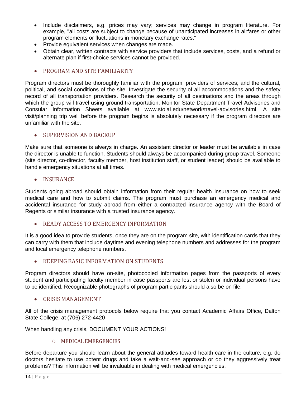- Include disclaimers, e.g. prices may vary; services may change in program literature. For example, "all costs are subject to change because of unanticipated increases in airfares or other program elements or fluctuations in monetary exchange rates."
- Provide equivalent services when changes are made.
- Obtain clear, written contracts with service providers that include services, costs, and a refund or alternate plan if first-choice services cannot be provided.

# • PROGRAM AND SITE FAMILIARITY

Program directors must be thoroughly familiar with the program; providers of services; and the cultural, political, and social conditions of the site. Investigate the security of all accommodations and the safety record of all transportation providers. Research the security of all destinations and the areas through which the group will travel using ground transportation. Monitor State Department Travel Advisories and Consular Information Sheets available at www.stolaLedu/network/travel-advisories.html. A site visit/planning trip well before the program begins is absolutely necessary if the program directors are unfamiliar with the site.

# • SUPERVISION AND BACKUP

Make sure that someone is always in charge. An assistant director or leader must be available in case the director is unable to function. Students should always be accompanied during group travel. Someone (site director, co-director, faculty member, host institution staff, or student leader) should be available to handle emergency situations at all times.

# • INSURANCE

Students going abroad should obtain information from their regular health insurance on how to seek medical care and how to submit claims. The program must purchase an emergency medical and accidental insurance for study abroad from either a contracted insurance agency with the Board of Regents or similar insurance with a trusted insurance agency.

# **• READY ACCESS TO EMERGENCY INFORMATION**

It is a good idea to provide students, once they are on the program site, with identification cards that they can carry with them that include daytime and evening telephone numbers and addresses for the program and local emergency telephone numbers.

# **• KEEPING BASIC INFORMATION ON STUDENTS**

Program directors should have on-site, photocopied information pages from the passports of every student and participating faculty member in case passports are lost or stolen or individual persons have to be identified. Recognizable photographs of program participants should also be on file.

# • CRISIS MANAGEMENT

All of the crisis management protocols below require that you contact Academic Affairs Office, Dalton State College, at (706) 272-4420

When handling any crisis, DOCUMENT YOUR ACTIONS!

### O MEDICAL EMERGENCIES

Before departure you should learn about the general attitudes toward health care in the culture, e.g. do doctors hesitate to use potent drugs and take a wait-and-see approach or do they aggressively treat problems? This information will be invaluable in dealing with medical emergencies.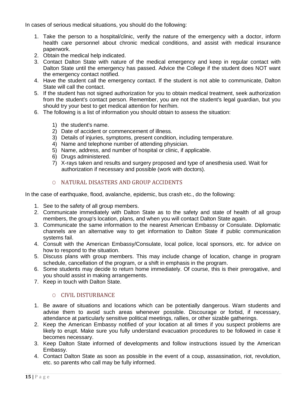In cases of serious medical situations, you should do the following:

- 1. Take the person to a hospital/clinic, verify the nature of the emergency with a doctor, inform health care personnel about chronic medical conditions, and assist with medical insurance paperwork.
- 2. Obtain the medical help indicated.
- 3. Contact Dalton State with nature of the medical emergency and keep in regular contact with Dalton State until the emergency has passed. Advice the College if the student does NOT want the emergency contact notified.
- 4. Have the student call the emergency contact. If the student is not able to communicate, Dalton State will call the contact.
- 5. If the student has not signed authorization for you to obtain medical treatment, seek authorization from the student's contact person. Remember, you are not the student's legal guardian, but you should try your best to get medical attention for her/him.
- 6. The following is a list of information you should obtain to assess the situation:
	- 1) the student's name.
	- 2) Date of accident or commencement of illness.
	- 3) Details of injuries, symptoms, present condition, including temperature.
	- 4) Name and telephone number of attending physician.
	- 5) Name, address, and number of hospital or clinic, if applicable.
	- 6) Drugs administered.
	- 7) X-rays taken and results and surgery proposed and type of anesthesia used. Wait for authorization if necessary and possible (work with doctors).

# O NATURAL DISASTERS AND GROUP ACCIDENTS

In the case of earthquake, flood, avalanche, epidemic, bus crash etc., do the following:

- 1. See to the safety of all group members.
- 2. Communicate immediately with Dalton State as to the safety and state of health of all group members, the group's location, plans, and when you will contact Dalton State again.
- 3. Communicate the same information to the nearest American Embassy or Consulate. Diplomatic channels are an alternative way to get information to Dalton State if public communication systems fail.
- 4. Consult with the American Embassy/Consulate, local police, local sponsors, etc. for advice on how to respond to the situation.
- 5. Discuss plans with group members. This may include change of location, change in program schedule, cancellation of the program, or a shift in emphasis in the program.
- 6. Some students may decide to return home immediately. Of course, this is their prerogative, and you should assist in making arrangements.
- 7. Keep in touch with Dalton State.

# O CIVIL DISTURBANCE

- 1. Be aware of situations and locations which can be potentially dangerous. Warn students and advise them to avoid such areas whenever possible. Discourage or forbid, if necessary, attendance at particularly sensitive political meetings, rallies, or other sizable gatherings.
- 2. Keep the American Embassy notified of your location at all times if you suspect problems are likely to erupt. Make sure you fully understand evacuation procedures to be followed in case it becomes necessary.
- 3. Keep Dalton State informed of developments and follow instructions issued by the American Embassy.
- 4. Contact Dalton State as soon as possible in the event of a coup, assassination, riot, revolution, etc. so parents who call may be fully informed.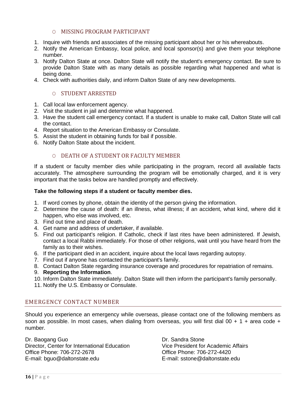## O MISSING PROGRAM PARTICIPANT

- 1. Inquire with friends and associates of the missing participant about her or his whereabouts.
- 2. Notify the American Embassy, local police, and local sponsor(s) and give them your telephone number.
- 3. Notify Dalton State at once. Dalton State will notify the student's emergency contact. Be sure to provide Dalton State with as many details as possible regarding what happened and what is being done.
- 4. Check with authorities daily, and inform Dalton State of any new developments.

### O STUDENT ARRESTED

- 1. Call local law enforcement agency.
- 2. Visit the student in jail and determine what happened.
- 3. Have the student call emergency contact. If a student is unable to make call, Dalton State will call the contact.
- 4. Report situation to the American Embassy or Consulate.
- 5. Assist the student in obtaining funds for bail if possible.
- 6. Notify Dalton State about the incident.

### O DEATH OF A STUDENT OR FACULTY MEMBER

If a student or faculty member dies while participating in the program, record all available facts accurately. The atmosphere surrounding the program will be emotionally charged, and it is very important that the tasks below are handled promptly and effectively.

#### **Take the following steps if a student or faculty member dies.**

- 1. If word comes by phone, obtain the identity of the person giving the information.
- 2. Determine the cause of death: if an illness, what illness; if an accident, what kind, where did it happen, who else was involved, etc.
- 3. Find out time and place of death.
- 4. Get name and address of undertaker, if available.
- 5. Find out participant's religion. If Catholic, check if last rites have been administered. If Jewish, contact a local Rabbi immediately. For those of other religions, wait until you have heard from the family as to their wishes.
- 6. If the participant died in an accident, inquire about the local laws regarding autopsy.
- 7. Find out if anyone has contacted the participant's family.
- 8. Contact Dalton State regarding insurance coverage and procedures for repatriation of remains.

#### 9. **Reporting the Information**.

10. Inform Dalton State immediately. Dalton State will then inform the participant's family personally.

11. Notify the U.S. Embassy or Consulate.

### EMERGENCY CONTACT NUMBER

Should you experience an emergency while overseas, please contact one of the following members as soon as possible. In most cases, when dialing from overseas, you will first dial  $00 + 1 + 1$  area code + number.

Dr. Baogang Guo Director, Center for International Education Office Phone: 706-272-2678 E-mail: bguo@daltonstate.edu

Dr. Sandra Stone Vice President for Academic Affairs Office Phone: 706-272-4420 E-mail: sstone@daltonstate.edu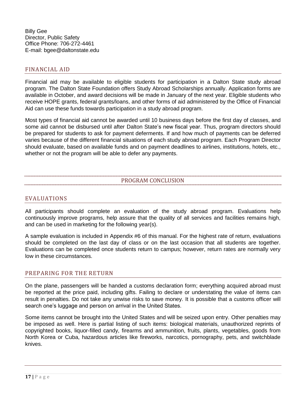Billy Gee Director, Public Safety Office Phone: 706-272-4461 E-mail: bgee@daltonstate.edu

# FINANCIAL AID

Financial aid may be available to eligible students for participation in a Dalton State study abroad program. The Dalton State Foundation offers Study Abroad Scholarships annually. Application forms are available in October, and award decisions will be made in January of the next year. Eligible students who receive HOPE grants, federal grants/loans, and other forms of aid administered by the Office of Financial Aid can use these funds towards participation in a study abroad program.

Most types of financial aid cannot be awarded until 10 business days before the first day of classes, and some aid cannot be disbursed until after Dalton State's new fiscal year. Thus, program directors should be prepared for students to ask for payment deferments. If and how much of payments can be deferred varies because of the different financial situations of each study abroad program. Each Program Director should evaluate, based on available funds and on payment deadlines to airlines, institutions, hotels, etc., whether or not the program will be able to defer any payments.

# PROGRAM CONCLUSION

### EVALUATIONS

All participants should complete an evaluation of the study abroad program. Evaluations help continuously improve programs, help assure that the quality of all services and facilities remains high, and can be used in marketing for the following year(s).

A sample evaluation is included in Appendix #6 of this manual. For the highest rate of return, evaluations should be completed on the last day of class or on the last occasion that all students are together. Evaluations can be completed once students return to campus; however, return rates are normally very low in these circumstances.

### PREPARING FOR THE RETURN

On the plane, passengers will be handed a customs declaration form; everything acquired abroad must be reported at the price paid, including gifts. Failing to declare or understating the value of items can result in penalties. Do not take any unwise risks to save money. It is possible that a customs officer will search one's luggage and person on arrival in the United States.

Some items cannot be brought into the United States and will be seized upon entry. Other penalties may be imposed as well. Here is partial listing of such items: biological materials, unauthorized reprints of copyrighted books, liquor-filled candy, firearms and ammunition, fruits, plants, vegetables, goods from North Korea or Cuba, hazardous articles like fireworks, narcotics, pornography, pets, and switchblade knives.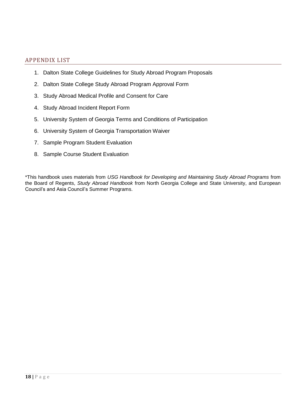# APPENDIX LIST

- 1. Dalton State College Guidelines for Study Abroad Program Proposals
- 2. Dalton State College Study Abroad Program Approval Form
- 3. Study Abroad Medical Profile and Consent for Care
- 4. Study Abroad Incident Report Form
- 5. University System of Georgia Terms and Conditions of Participation
- 6. University System of Georgia Transportation Waiver
- 7. Sample Program Student Evaluation
- 8. Sample Course Student Evaluation

\*This handbook uses materials from *USG Handbook for Developing and Maintaining Study Abroad Programs* from the Board of Regents, *Study Abroad Handbook* from North Georgia College and State University, and European Council's and Asia Council's Summer Programs.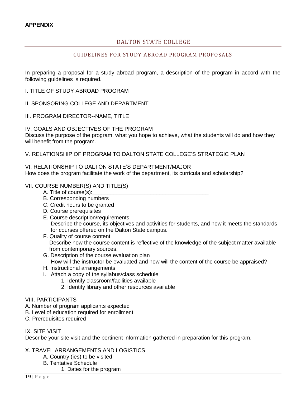# DALTON STATE COLLEGE

#### GUIDELINES FOR STUDY ABROAD PROGRAM PROPOSALS

In preparing a proposal for a study abroad program, a description of the program in accord with the following guidelines is required.

I. TITLE OF STUDY ABROAD PROGRAM

II. SPONSORING COLLEGE AND DEPARTMENT

- III. PROGRAM DIRECTOR--NAME, TITLE
- IV. GOALS AND OBJECTIVES OF THE PROGRAM

Discuss the purpose of the program, what you hope to achieve, what the students will do and how they will benefit from the program.

V. RELATIONSHIP OF PROGRAM TO DALTON STATE COLLEGE'S STRATEGIC PLAN

#### VI. RELATIONSHIP TO DALTON STATE'S DEPARTMENT/MAJOR How does the program facilitate the work of the department, its curricula and scholarship?

#### VII. COURSE NUMBER(S) AND TITLE(S)

- A. Title of course(s):
- B. Corresponding numbers
- C. Credit hours to be granted
- D. Course prerequisites
- E. Course description/requirements Describe the course, its objectives and activities for students, and how it meets the standards for courses offered on the Dalton State campus.
- F. Quality of course content Describe how the course content is reflective of the knowledge of the subject matter available from contemporary sources.
- G. Description of the course evaluation plan How will the instructor be evaluated and how will the content of the course be appraised?
- H. Instructional arrangements
- I. Attach a copy of the syllabus/class schedule
	- 1. Identify classroom/facilities available
	- 2. Identify library and other resources available

#### VIII. PARTICIPANTS

- A. Number of program applicants expected
- B. Level of education required for enrollment
- C. Prerequisites required

#### IX. SITE VISIT

Describe your site visit and the pertinent information gathered in preparation for this program.

- X. TRAVEL ARRANGEMENTS AND LOGISTICS
	- A. Country (ies) to be visited
	- B. Tentative Schedule
		- 1. Dates for the program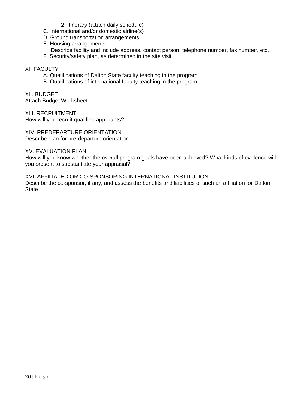#### 2. Itinerary (attach daily schedule)

- C. International and/or domestic airline(s)
- D. Ground transportation arrangements
- E. Housing arrangements
- Describe facility and include address, contact person, telephone number, fax number, etc.
- F. Security/safety plan, as determined in the site visit

#### XI. FACULTY

- A. Qualifications of Dalton State faculty teaching in the program
- B. Qualifications of international faculty teaching in the program

XII. BUDGET Attach Budget Worksheet

XIII. RECRUITMENT How will you recruit qualified applicants?

XIV. PREDEPARTURE ORIENTATION Describe plan for pre-departure orientation

XV. EVALUATION PLAN

How will you know whether the overall program goals have been achieved? What kinds of evidence will you present to substantiate your appraisal?

XVI. AFFILIATED OR CO-SPONSORING INTERNATIONAL INSTITUTION Describe the co-sponsor, if any, and assess the benefits and liabilities of such an affiliation for Dalton State.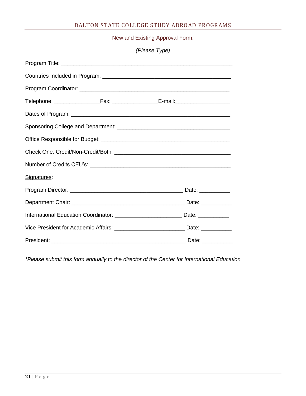# DALTON STATE COLLEGE STUDY ABROAD PROGRAMS

New and Existing Approval Form:

|             | (Please Type)                                                                          |
|-------------|----------------------------------------------------------------------------------------|
|             |                                                                                        |
|             |                                                                                        |
|             |                                                                                        |
|             | Telephone: ____________________Fax: ____________________E-mail:_________________       |
|             |                                                                                        |
|             |                                                                                        |
|             |                                                                                        |
|             |                                                                                        |
|             |                                                                                        |
| Signatures: |                                                                                        |
|             |                                                                                        |
|             |                                                                                        |
|             | International Education Coordinator: ____________________________Date: __________      |
|             | Vice President for Academic Affairs: _______________________________Date: ____________ |
|             |                                                                                        |

*\*Please submit this form annually to the director of the Center for International Education*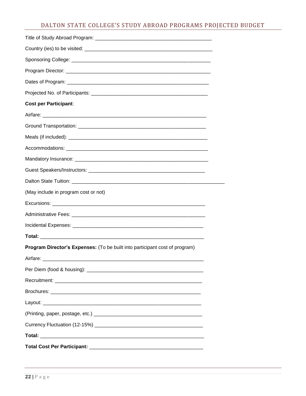# DALTON STATE COLLEGE'S STUDY ABROAD PROGRAMS PROJECTED BUDGET

| <b>Cost per Participant:</b>                                                                                  |
|---------------------------------------------------------------------------------------------------------------|
| Airfare: 2008. 2008. 2009. 2010. 2010. 2010. 2010. 2010. 2010. 2010. 2010. 2010. 2010. 2010. 2010. 2010. 2010 |
|                                                                                                               |
|                                                                                                               |
|                                                                                                               |
|                                                                                                               |
|                                                                                                               |
|                                                                                                               |
| (May include in program cost or not)                                                                          |
|                                                                                                               |
|                                                                                                               |
|                                                                                                               |
|                                                                                                               |
| Program Director's Expenses: (To be built into participant cost of program)                                   |
|                                                                                                               |
|                                                                                                               |
|                                                                                                               |
|                                                                                                               |
|                                                                                                               |
|                                                                                                               |
|                                                                                                               |
|                                                                                                               |
|                                                                                                               |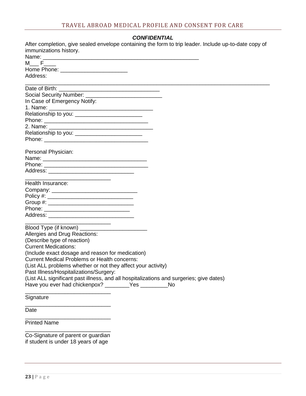#### *CONFIDENTIAL*

| After completion, give sealed envelope containing the form to trip leader. Include up-to-date copy of |
|-------------------------------------------------------------------------------------------------------|
| immunizations history.                                                                                |
|                                                                                                       |
| $M \t F$                                                                                              |
|                                                                                                       |
| Address:                                                                                              |
|                                                                                                       |
|                                                                                                       |
| In Case of Emergency Notify:                                                                          |
|                                                                                                       |
| Relationship to you: ______________________________                                                   |
|                                                                                                       |
|                                                                                                       |
| Relationship to you: __________________________                                                       |
|                                                                                                       |
| Personal Physician:                                                                                   |
|                                                                                                       |
|                                                                                                       |
|                                                                                                       |
| <u> 1989 - Jan Berlin, Amerikaansk politiker (</u><br>Health Insurance:                               |
|                                                                                                       |
|                                                                                                       |
|                                                                                                       |
|                                                                                                       |
|                                                                                                       |
|                                                                                                       |
| Allergies and Drug Reactions:                                                                         |
| (Describe type of reaction)                                                                           |
| <b>Current Medications:</b>                                                                           |
| (Include exact dosage and reason for medication)                                                      |
| <b>Current Medical Problems or Health concerns:</b>                                                   |
| (List ALL problems whether or not they affect your activity)                                          |
| Past Illness/Hospitalizations/Surgery:                                                                |
| (List ALL significant past illness, and all hospitalizations and surgeries; give dates)               |
| Have you ever had chickenpox? _________Yes ________<br><b>No</b>                                      |
| Signature                                                                                             |
| Date                                                                                                  |
| <b>Printed Name</b>                                                                                   |

\_\_\_\_\_\_\_\_\_\_\_\_\_\_\_\_\_\_\_\_\_\_\_\_\_\_\_\_ Co-Signature of parent or guardian if student is under 18 years of age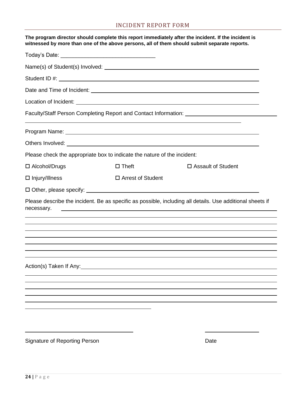# INCIDENT REPORT FORM

|                       |                                                                          | The program director should complete this report immediately after the incident. If the incident is<br>witnessed by more than one of the above persons, all of them should submit separate reports. |  |
|-----------------------|--------------------------------------------------------------------------|-----------------------------------------------------------------------------------------------------------------------------------------------------------------------------------------------------|--|
|                       |                                                                          |                                                                                                                                                                                                     |  |
|                       |                                                                          |                                                                                                                                                                                                     |  |
|                       |                                                                          |                                                                                                                                                                                                     |  |
|                       |                                                                          |                                                                                                                                                                                                     |  |
|                       |                                                                          |                                                                                                                                                                                                     |  |
|                       |                                                                          | Faculty/Staff Person Completing Report and Contact Information: ________________                                                                                                                    |  |
|                       |                                                                          | Program Name: <u>Contract Communication</u> Contract Communication Communication Communication Communication                                                                                        |  |
|                       |                                                                          |                                                                                                                                                                                                     |  |
|                       | Please check the appropriate box to indicate the nature of the incident: |                                                                                                                                                                                                     |  |
| □ Alcohol/Drugs       | $\square$ Theft                                                          | □ Assault of Student                                                                                                                                                                                |  |
| $\Box$ Injury/Illness | $\Box$ Arrest of Student                                                 |                                                                                                                                                                                                     |  |
|                       |                                                                          |                                                                                                                                                                                                     |  |
| necessary.            | <u> 1989 - Johann Stoff, amerikansk politiker (d. 1989)</u>              | Please describe the incident. Be as specific as possible, including all details. Use additional sheets if                                                                                           |  |
|                       |                                                                          |                                                                                                                                                                                                     |  |
|                       |                                                                          | ,我们也不会有什么。""我们的人,我们也不会有什么?""我们的人,我们也不会有什么?""我们的人,我们也不会有什么?""我们的人,我们也不会有什么?""我们的人                                                                                                                    |  |
|                       |                                                                          |                                                                                                                                                                                                     |  |
|                       |                                                                          |                                                                                                                                                                                                     |  |
|                       | Action(s) Taken If Any: Action Contract of Taken If Any:                 |                                                                                                                                                                                                     |  |
|                       |                                                                          |                                                                                                                                                                                                     |  |
|                       |                                                                          |                                                                                                                                                                                                     |  |
|                       |                                                                          |                                                                                                                                                                                                     |  |
|                       |                                                                          |                                                                                                                                                                                                     |  |
|                       |                                                                          |                                                                                                                                                                                                     |  |
|                       |                                                                          |                                                                                                                                                                                                     |  |
|                       |                                                                          |                                                                                                                                                                                                     |  |

Signature of Reporting Person **Date** Date **Date**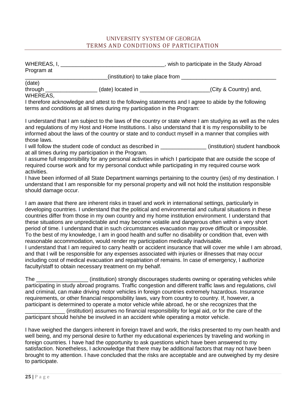# UNIVERSITY SYSTEM OF GEORGIA TERMS AND CONDITIONS OF PARTICIPATION

| WHEREAS, I,<br>Program at            |                                  | wish to participate in the Study Abroad |
|--------------------------------------|----------------------------------|-----------------------------------------|
|                                      | (institution) to take place from |                                         |
| (date)<br>through<br><b>WHEREAS,</b> | (date) located in                | (City & Country) and,                   |

I therefore acknowledge and attest to the following statements and I agree to abide by the following terms and conditions at all times during my participation in the Program:

I understand that I am subject to the laws of the country or state where I am studying as well as the rules and regulations of my Host and Home Institutions. I also understand that it is my responsibility to be informed about the laws of the country or state and to conduct myself in a manner that complies with those laws.

I will follow the student code of conduct as described in **Fig. (institution)** student handbook at all times during my participation in the Program.

I assume full responsibility for any personal activities in which I participate that are outside the scope of required course work and for my personal conduct while participating in my required course work activities.

I have been informed of all State Department warnings pertaining to the country (ies) of my destination. I understand that I am responsible for my personal property and will not hold the institution responsible should damage occur.

I am aware that there are inherent risks in travel and work in international settings, particularly in developing countries. I understand that the political and environmental and cultural situations in these countries differ from those in my own country and my home institution environment. I understand that these situations are unpredictable and may become volatile and dangerous often within a very short period of time. I understand that in such circumstances evacuation may prove difficult or impossible. To the best of my knowledge, I am in good health and suffer no disability or condition that, even with reasonable accommodation, would render my participation medically inadvisable.

I understand that I am required to carry health or accident insurance that will cover me while I am abroad, and that I will be responsible for any expenses associated with injuries or illnesses that may occur including cost of medical evacuation and repatriation of remains. In case of emergency, I authorize faculty/staff to obtain necessary treatment on my behalf.

The \_\_\_\_\_\_\_\_\_\_\_\_\_\_\_\_\_ (institution) strongly discourages students owning or operating vehicles while participating in study abroad programs. Traffic congestion and different traffic laws and regulations, civil and criminal, can make driving motor vehicles in foreign countries extremely hazardous. Insurance requirements, or other financial responsibility laws, vary from country to country. If, however, a participant is determined to operate a motor vehicle while abroad, he or she recognizes that the (institution) assumes no financial responsibility for legal aid, or for the care of the participant should he/she be involved in an accident while operating a motor vehicle.

I have weighed the dangers inherent in foreign travel and work, the risks presented to my own health and well being, and my personal desire to further my educational experiences by traveling and working in foreign countries. I have had the opportunity to ask questions which have been answered to my satisfaction. Nonetheless, I acknowledge that there may be additional factors that may not have been brought to my attention. I have concluded that the risks are acceptable and are outweighed by my desire to participate.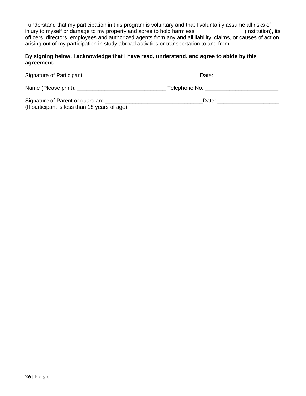I understand that my participation in this program is voluntary and that I voluntarily assume all risks of injury to myself or damage to my property and agree to hold harmless \_\_\_\_\_\_\_\_\_\_\_\_\_\_\_\_(institution), its officers, directors, employees and authorized agents from any and all liability, claims, or causes of action arising out of my participation in study abroad activities or transportation to and from.

# **By signing below, I acknowledge that I have read, understand, and agree to abide by this agreement.**

| Signature of Participant                      | Date:         |  |
|-----------------------------------------------|---------------|--|
| Name (Please print): _________________        | Telephone No. |  |
| Signature of Parent or guardian:              | Date:         |  |
| (If participant is less than 18 years of age) |               |  |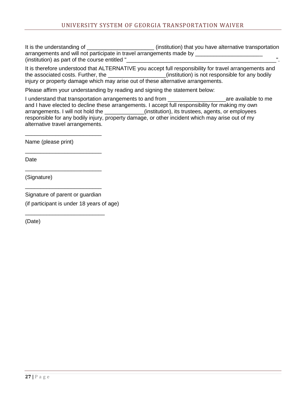It is the understanding of \_\_\_\_\_\_\_\_\_\_\_\_\_\_\_\_\_\_\_\_\_\_\_\_\_\_(institution) that you have alternative transportation arrangements and will not participate in travel arrangements made by \_\_\_\_\_\_\_\_\_\_\_\_\_\_\_\_\_\_\_\_\_\_\_\_\_\_\_\_\_\_\_  $(i$ nstitution) as part of the course entitled "

It is therefore understood that ALTERNATIVE you accept full responsibility for travel arrangements and the associated costs. Further, the \_\_\_\_\_\_\_\_\_\_\_\_\_\_\_\_\_\_\_(institution) is not responsible for any bodily injury or property damage which may arise out of these alternative arrangements.

Please affirm your understanding by reading and signing the statement below:

I understand that transportation arrangements to and from \_\_\_\_\_\_\_\_\_\_\_\_\_\_\_\_\_\_\_are available to me and I have elected to decline these arrangements. I accept full responsibility for making my own arrangements. I will not hold the \_\_\_\_\_\_\_\_\_\_\_\_\_(institution), its trustees, agents, or employees responsible for any bodily injury, property damage, or other incident which may arise out of my alternative travel arrangements.

Name (please print)

\_\_\_\_\_\_\_\_\_\_\_\_\_\_\_\_\_\_\_\_\_\_\_\_\_

\_\_\_\_\_\_\_\_\_\_\_\_\_\_\_\_\_\_\_\_\_\_\_\_\_

\_\_\_\_\_\_\_\_\_\_\_\_\_\_\_\_\_\_\_\_\_\_\_\_\_

\_\_\_\_\_\_\_\_\_\_\_\_\_\_\_\_\_\_\_\_\_\_\_\_\_

\_\_\_\_\_\_\_\_\_\_\_\_\_\_\_\_\_\_\_\_\_\_\_\_\_\_

Date

(Signature)

Signature of parent or guardian (if participant is under 18 years of age)

(Date)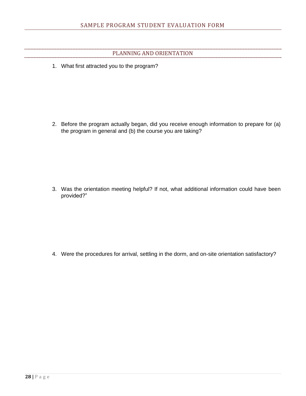# PLANNING AND ORIENTATION

1. What first attracted you to the program?

2. Before the program actually began, did you receive enough information to prepare for (a) the program in general and (b) the course you are taking?

3. Was the orientation meeting helpful? If not, what additional information could have been provided?"

4. Were the procedures for arrival, settling in the dorm, and on-site orientation satisfactory?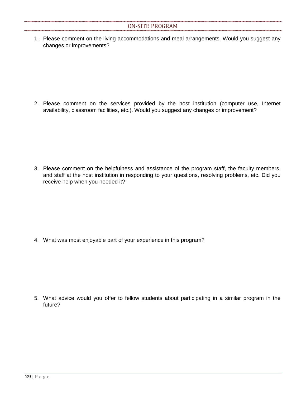1. Please comment on the living accommodations and meal arrangements. Would you suggest any changes or improvements?

2. Please comment on the services provided by the host institution (computer use, Internet availability, classroom facilities, etc.). Would you suggest any changes or improvement?

3. Please comment on the helpfulness and assistance of the program staff, the faculty members, and staff at the host institution in responding to your questions, resolving problems, etc. Did you receive help when you needed it?

4. What was most enjoyable part of your experience in this program?

5. What advice would you offer to fellow students about participating in a similar program in the future?